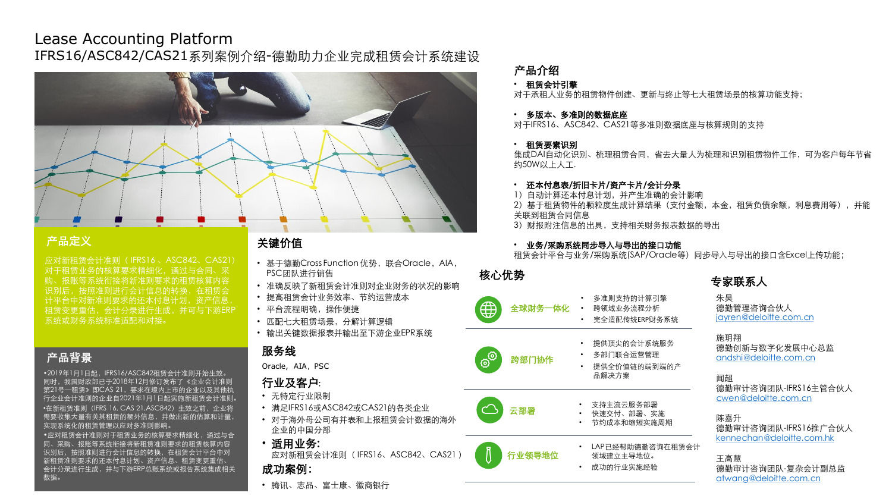# Lease Accounting Platform IFRS16/ASC842/CAS21系列案例介绍-德勤助力企业完成租赁会计系统建设



### 产品定义

应对新租赁会计准则( IFRS16 、ASC842、CAS21) 对于租赁业务的核算要求精细化,通过与合同、采 购、报账等系统衔接将新准则要求的租赁核算内容 识别后,按照准则进行会计信息的转换,在租 计平台中对新准则要求的还本付息计划,资产信, 租赁变更重估,会计分录进行生成,并可与下游ERP 系统或财务系统标准适配和对接。

# 产品背景

• 2019年1月1日起, IFRS16/ASC842租赁会计准则开始生效。 同时,我国财政部已于2018年12月修订发布了《企业会计准则 第21号—租赁》即CAS 21,要求在境内上市的企业以及其他执 行企业会计准则的企业自2021年1月1日起实施新租赁会计准则。

•在新租赁准则 (IFRS 16, CAS 21, ASC842) 生效之前, 企业将 需要收集大量有关其租赁的额外信息,并做出新的估算和计量, 实现系统化的租赁管理以应对多准则影响。

•应对租赁会计准则对于租赁业务的核算要求精细化,通过与合 同、采购、报账等系统衔接将新租赁准则要求的租赁核算内容 识别后,按照准则进行会计信息的转换,在租赁会计平台中对 新租赁准则要求的还本付息计划、资产信息、租赁变更重估、 会计分录进行生成,并与下游ERP总账系统或报告系统集成相关 数据。

## 关键价值

- 基于德勤Cross Function 优势, 联合Oracle, AIA, PSC团队进行销售
- 准确反映了新租赁会计准则对企业财务的状况的影响
- 提高租赁会计业务效率、节约运营成本
- 平台流程明确, 操作便捷
- 匹配七大租赁场景,分解计算逻辑
- 输出关键数据报表并输出至下游企业EPR系统

### 服务线

Oracle, AIA, PSC

### 行业及客户:

- 无特定行业限制
- 满足IFRS16或ASC842或CAS21的各类企业
- 对于海外母公司有并表和上报租赁会计数据的海外 企业的中国分部
- 适用业务:

应对新租赁会计准则( IFRS16、ASC842、CAS21 ) 成功案例:

• 腾讯、志品、富士康、徽商银行

### 产品介绍

### • 租赁会计引擎

对于承租人业务的租赁物件创建、更新与终止等七大租赁场景的核算功能支持;

#### • 多版本、多准则的数据底座

对于IFRS16、ASC842、CAS21等多准则数据底座与核算规则的支持

#### • 租赁要素识别

集成DAI自动化识别、梳理租赁合同,省去大量人为梳理和识别租赁物件工作,可为客户每年节省 约50W以上人工.

#### • 还本付息表/折旧卡片/资产卡片/会计分录

1)自动计算还本付息计划,并产生准确的会计影响

2)基于租赁物件的颗粒度生成计算结果(支付金额,本金,租赁负债余额,利息费用等),并能 关联到租赁合同信息

3) 财报附注信息的出具,支持相关财务报表数据的导出

#### • 业务/采购系统同步导入与导出的接口功能

租赁会计平台与业务/采购系统(SAP/Oracle等)同步导入与导出的接口含Excel上传功能;

### 核心优势



全球财务一体化

跨部门协作

### • 完全适配传统ERP财务系统

• 提供顶尖的会计系统服务

• 多准则支持的计算引擎 • 跨领域业务流程分析

- 多部门联合运营管理 • 提供全价值链的端到端的产 品解决方案
- 
- 云部署 支持主流云服务部署 • 快速交付、部署、实施
	- 节约成本和缩短实施周期
	- LAP已经帮助德勤咨询在租赁会计 领域建立主导地位。
	- 成功的行业实施经验

# 专家联系人

朱昊 德勤管理咨询合伙人 igyren@deloitte.com.cn

#### 施玥翔

德勤创新与数字化发展中心总监 [andshi@deloitte.com.cn](mailto:创新与数字化发展中心副总监andshi@deloitte.com.cn)

#### 闻超

德勤审计咨询团队-IFRS16主管合伙人 [cwen@deloitte.com.cn](mailto:cwen@deloitte.com.cn)

#### 陈嘉升

德勤审计咨询团队-IFRS16推广合伙人 [kennechan@deloitte.com.hk](mailto:kennechan@deloitte.com.hk)

#### 王高慧

德勤审计咨询团队-复杂会计副总监 [atwang@deloitte.com.cn](mailto:atwang@deloitte.com.cn)

- 
- 



行业领导地位